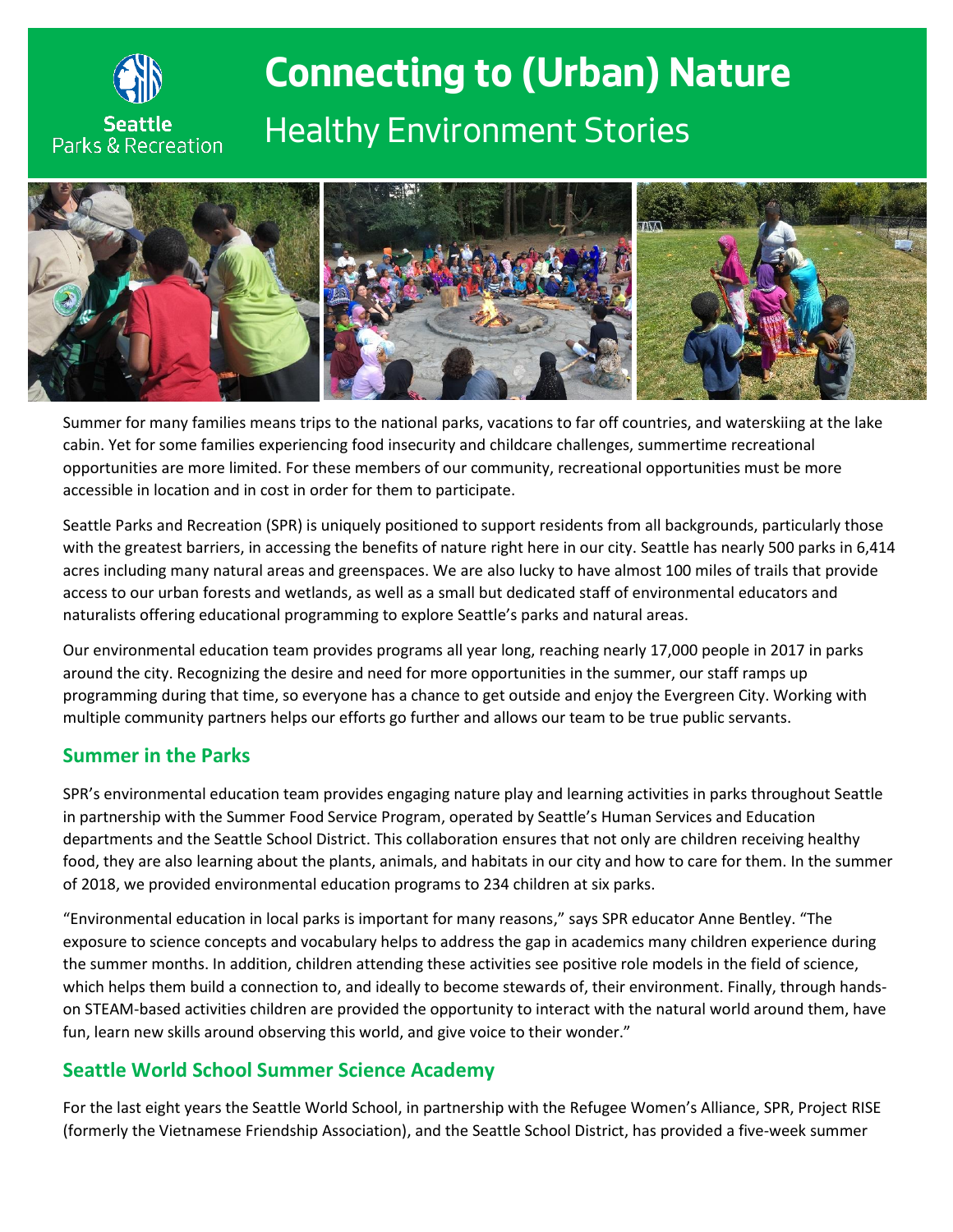

# **Connecting to (Urban) Nature** *Healthy Environment Stories*



Summer for many families means trips to the national parks, vacations to far off countries, and waterskiing at the lake cabin. Yet for some families experiencing food insecurity and childcare challenges, summertime recreational opportunities are more limited. For these members of our community, recreational opportunities must be more accessible in location and in cost in order for them to participate.

Seattle Parks and Recreation (SPR) is uniquely positioned to support residents from all backgrounds, particularly those with the greatest barriers, in accessing the benefits of nature right here in our city. Seattle has nearly 500 parks in 6,414 acres including many natural areas and greenspaces. We are also lucky to have almost 100 miles of trails that provide access to our urban forests and wetlands, as well as a small but dedicated staff of environmental educators and naturalists offering educational programming to explore Seattle's parks and natural areas.

Our environmental education team provides programs all year long, reaching nearly 17,000 people in 2017 in parks around the city. Recognizing the desire and need for more opportunities in the summer, our staff ramps up programming during that time, so everyone has a chance to get outside and enjoy the Evergreen City. Working with multiple community partners helps our efforts go further and allows our team to be true public servants.

#### **Summer in the Parks**

SPR's environmental education team provides engaging nature play and learning activities in parks throughout Seattle in partnership with the Summer Food Service Program, operated by Seattle's Human Services and Education departments and the Seattle School District. This collaboration ensures that not only are children receiving healthy food, they are also learning about the plants, animals, and habitats in our city and how to care for them. In the summer of 2018, we provided environmental education programs to 234 children at six parks.

"Environmental education in local parks is important for many reasons," says SPR educator Anne Bentley. "The exposure to science concepts and vocabulary helps to address the gap in academics many children experience during the summer months. In addition, children attending these activities see positive role models in the field of science, which helps them build a connection to, and ideally to become stewards of, their environment. Finally, through handson STEAM-based activities children are provided the opportunity to interact with the natural world around them, have fun, learn new skills around observing this world, and give voice to their wonder."

# **Seattle World School Summer Science Academy**

For the last eight years the Seattle World School, in partnership with the Refugee Women's Alliance, SPR, Project RISE (formerly the Vietnamese Friendship Association), and the Seattle School District, has provided a five-week summer